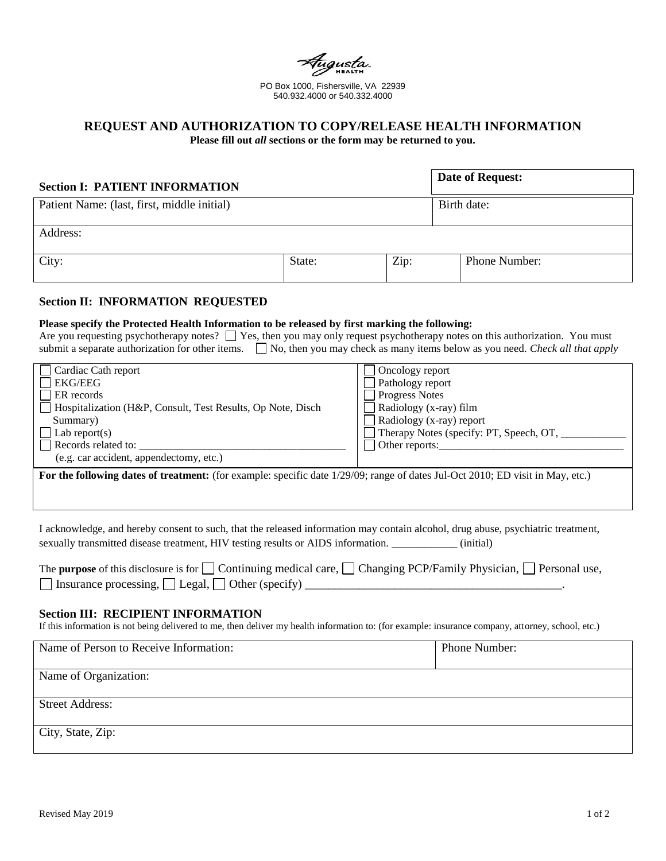PO Box 1000, Fishersville, VA 22939 540.932.4000 or 540.332.4000

# **REQUEST AND AUTHORIZATION TO COPY/RELEASE HEALTH INFORMATION**

**Please fill out** *all* **sections or the form may be returned to you.**

| <b>Section I: PATIENT INFORMATION</b>       |        |      |             | <b>Date of Request:</b> |
|---------------------------------------------|--------|------|-------------|-------------------------|
| Patient Name: (last, first, middle initial) |        |      | Birth date: |                         |
| Address:                                    |        |      |             |                         |
| City:                                       | State: | Zip: |             | Phone Number:           |

## **Section II: INFORMATION REQUESTED**

#### **Please specify the Protected Health Information to be released by first marking the following:**

| Are you requesting psychotherapy notes? $\Box$ Yes, then you may only request psychotherapy notes on this authorization. You must |  |  |  |
|-----------------------------------------------------------------------------------------------------------------------------------|--|--|--|
| submit a separate authorization for other items. No, then you may check as many items below as you need. Check all that apply     |  |  |  |

| Cardiac Cath report                                                                                                            | Oncology report                         |  |  |  |
|--------------------------------------------------------------------------------------------------------------------------------|-----------------------------------------|--|--|--|
| <b>EKG/EEG</b>                                                                                                                 | $\Box$ Pathology report                 |  |  |  |
| ER records                                                                                                                     | <b>Progress Notes</b>                   |  |  |  |
| Hospitalization (H&P, Consult, Test Results, Op Note, Disch                                                                    | Radiology (x-ray) film                  |  |  |  |
| Summary)                                                                                                                       | $\Box$ Radiology (x-ray) report         |  |  |  |
| Lab report(s)                                                                                                                  | Therapy Notes (specify: PT, Speech, OT, |  |  |  |
| Records related to:                                                                                                            | Other reports:                          |  |  |  |
| (e.g. car accident, appendectomy, etc.)                                                                                        |                                         |  |  |  |
| For the following dates of treatment: (for example: specific date 1/29/09; range of dates Jul-Oct 2010; ED visit in May, etc.) |                                         |  |  |  |

I acknowledge, and hereby consent to such, that the released information may contain alcohol, drug abuse, psychiatric treatment, sexually transmitted disease treatment, HIV testing results or AIDS information. \_\_\_\_\_\_\_\_\_\_\_\_ (initial)

| The purpose of this disclosure is for $\Box$ Continuing medical care, $\Box$ Changing PCP/Family Physician, $\Box$ Personal use, |  |
|----------------------------------------------------------------------------------------------------------------------------------|--|
| $\Box$ Insurance processing, $\Box$ Legal, $\Box$ Other (specify)                                                                |  |

#### **Section III: RECIPIENT INFORMATION**

If this information is not being delivered to me, then deliver my health information to: (for example: insurance company, attorney, school, etc.)

| Name of Person to Receive Information: | Phone Number: |  |  |
|----------------------------------------|---------------|--|--|
|                                        |               |  |  |
| Name of Organization:                  |               |  |  |
|                                        |               |  |  |
| <b>Street Address:</b>                 |               |  |  |
|                                        |               |  |  |
| City, State, Zip:                      |               |  |  |
|                                        |               |  |  |